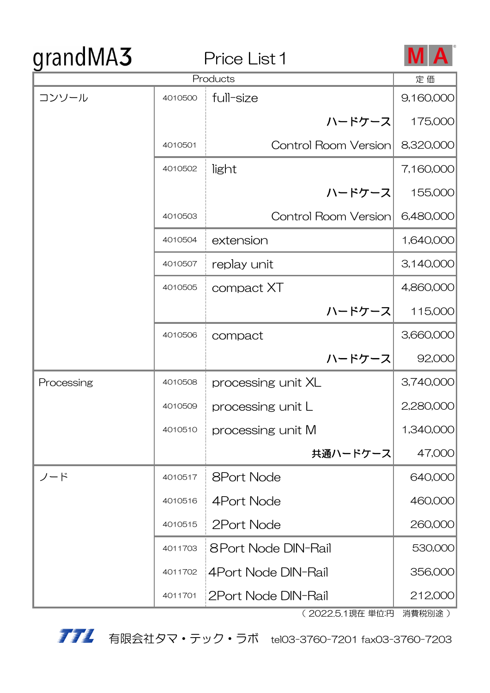# grandMA3

### Price List 1



| $\tilde{\phantom{a}}$<br>Products |         | 定価                          |           |
|-----------------------------------|---------|-----------------------------|-----------|
| コンソール                             | 4010500 | full-size                   | 9,160,000 |
|                                   |         | ハードケース                      | 175,000   |
|                                   | 4010501 | <b>Control Room Version</b> | 8,320,000 |
|                                   | 4010502 | light                       | 7,160,000 |
|                                   |         | ハードケース                      | 155,000   |
|                                   | 4010503 | <b>Control Room Version</b> | 6,480,000 |
|                                   | 4010504 | extension                   | 1,640,000 |
|                                   | 4010507 | replay unit                 | 3,140,000 |
|                                   | 4010505 | compact XT                  | 4,860,000 |
|                                   |         | ハードケース                      | 115,000   |
|                                   | 4010506 | compact                     | 3,660,000 |
|                                   |         | ハードケース                      | 92,000    |
| Processing                        | 4010508 | processing unit XL          | 3,740,000 |
|                                   | 4010509 | processing unit L           | 2,280,000 |
|                                   | 4010510 | processing unit M           | 1,340,000 |
|                                   |         | 共通ハードケース                    | 47,000    |
| ノード                               | 4010517 | <b>8Port Node</b>           | 640,000   |
|                                   | 4010516 | 4Port Node                  | 460,000   |
|                                   | 4010515 | 2Port Node                  | 260,000   |
|                                   | 4011703 | 8 Port Node DIN-Rail        | 530,000   |
|                                   | 4011702 | 4Port Node DIN-Rail         | 356,000   |
|                                   | 4011701 | 2Port Node DIN-Rail         | 212,000   |

( 2022.5.1現在 単位:円 消費税別途 )

**アアミ** 有限会社タマ・テック・ラボ tel03-3760-7201 fax03-3760-7203